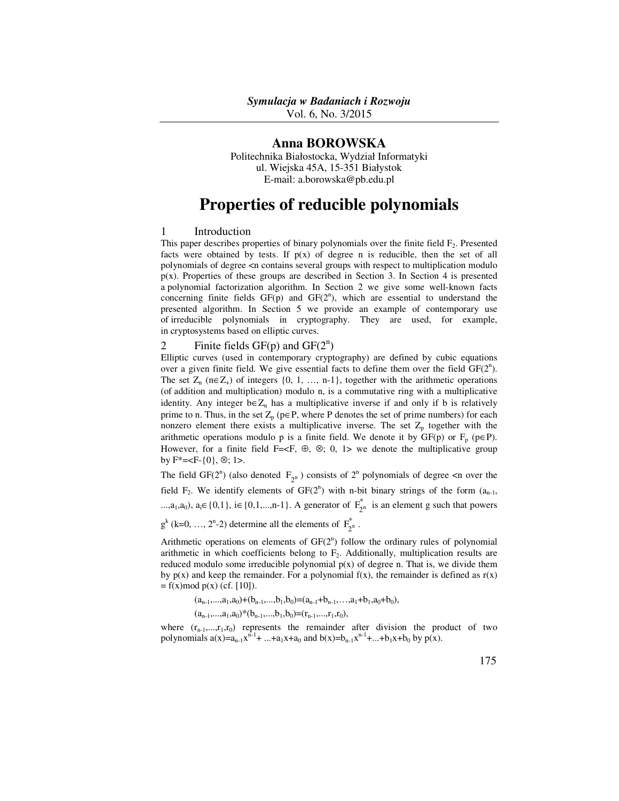Vol. 6, No. 3/2015

## **Anna BOROWSKA**

Politechnika Białostocka, Wydział Informatyki ul. Wiejska 45A, 15-351 Białystok E-mail: a.borowska@pb.edu.pl

# **Properties of reducible polynomials**

### 1 Introduction

This paper describes properties of binary polynomials over the finite field  $F_2$ . Presented facts were obtained by tests. If  $p(x)$  of degree n is reducible, then the set of all polynomials of degree <n contains several groups with respect to multiplication modulo p(x). Properties of these groups are described in Section 3. In Section 4 is presented a polynomial factorization algorithm. In Section 2 we give some well-known facts concerning finite fields  $GF(p)$  and  $GF(2<sup>n</sup>)$ , which are essential to understand the presented algorithm. In Section 5 we provide an example of contemporary use of irreducible polynomials in cryptography. They are used, for example, in cryptosystems based on elliptic curves.

# 2 Finite fields  $GF(p)$  and  $GF(2^n)$

Elliptic curves (used in contemporary cryptography) are defined by cubic equations over a given finite field. We give essential facts to define them over the field  $GF(2^n)$ . The set  $Z_n$  (n∈ $Z_+$ ) of integers {0, 1, ..., n-1}, together with the arithmetic operations (of addition and multiplication) modulo n, is a commutative ring with a multiplicative identity. Any integer  $b \in Z_n$  has a multiplicative inverse if and only if b is relatively prime to n. Thus, in the set  $Z_p$  (p $\in$  P, where P denotes the set of prime numbers) for each nonzero element there exists a multiplicative inverse. The set  $Z_p$  together with the arithmetic operations modulo p is a finite field. We denote it by  $GF(p)$  or  $F_p$  (p $\in$ P). However, for a finite field F=<F,  $\oplus$ ,  $\otimes$ ; 0, 1> we denote the multiplicative group by  $F^*=$ .

The field GF( $2^n$ ) (also denoted  $F_{2^n}$ ) consists of  $2^n$  polynomials of degree  $\leq n$  over the field  $F_2$ . We identify elements of  $GF(2^n)$  with n-bit binary strings of the form  $(a_{n-1}, a_{n-1})$ ...,a<sub>1</sub>,a<sub>0</sub>), a<sub>i</sub>∈ {0,1}, i∈ {0,1,...,n-1}. A generator of  $F_{2^n}^*$  is an element g such that powers

 $g^{k}$  (k=0, ..., 2<sup>n</sup>-2) determine all the elements of  $F_{2^n}^{*}$ .

Arithmetic operations on elements of  $GF(2<sup>n</sup>)$  follow the ordinary rules of polynomial arithmetic in which coefficients belong to  $F_2$ . Additionally, multiplication results are reduced modulo some irreducible polynomial  $p(x)$  of degree n. That is, we divide them by  $p(x)$  and keep the remainder. For a polynomial  $f(x)$ , the remainder is defined as  $r(x)$  $= f(x) \mod p(x)$  (cf. [10]).

 $(a_{n-1},...,a_1,a_0)+(b_{n-1},...,b_1,b_0)=(a_{n-1}+b_{n-1},...,a_1+b_1,a_0+b_0),$ 

 $(a_{n-1},...,a_1,a_0)*(b_{n-1},...,b_1,b_0)=(r_{n-1},...,r_1,r_0),$ 

where  $(r_{n-1},...,r_1,r_0)$  represents the remainder after division the product of two polynomials  $a(x)=a_{n-1}x^{n-1}+ ...+a_1x+a_0$  and  $b(x)=b_{n-1}x^{n-1}+...+b_1x+b_0$  by  $p(x)$ .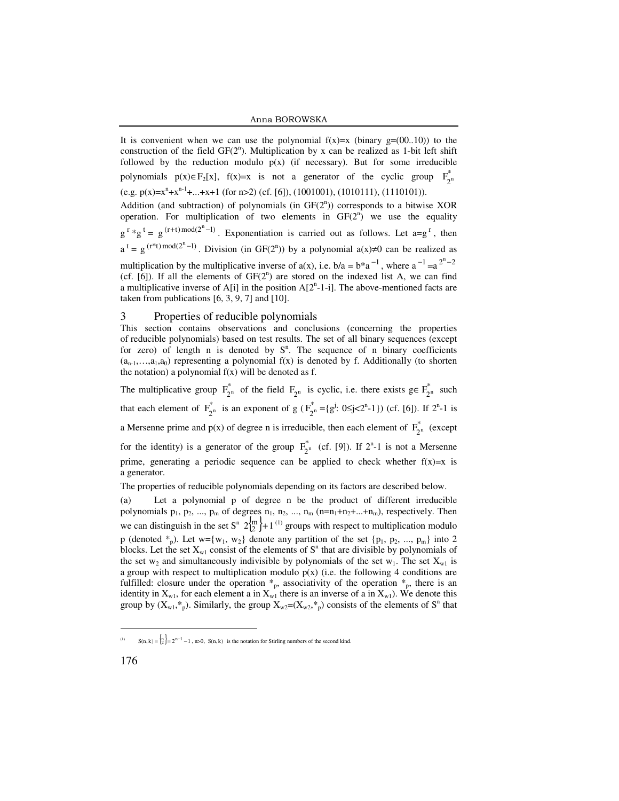#### Anna BOROWSKA

It is convenient when we can use the polynomial  $f(x)=x$  (binary  $g=(00..10)$ ) to the construction of the field  $GF(2^n)$ . Multiplication by x can be realized as 1-bit left shift followed by the reduction modulo  $p(x)$  (if necessary). But for some irreducible polynomials  $p(x) \in F_2[x]$ ,  $f(x)=x$  is not a generator of the cyclic group  $F_{2^n}^*$ (e.g.  $p(x)=x^{n}+x^{n-1}+...+x+1$  (for  $n>2$ ) (cf. [6]), (1001001), (1010111), (1110101)). Addition (and subtraction) of polynomials (in  $GF(2^n)$ ) corresponds to a bitwise XOR operation. For multiplication of two elements in  $GF(2<sup>n</sup>)$  we use the equality  $g^r * g^t = g^{(r+t) \mod (2^n-1)}$ . Exponentiation is carried out as follows. Let  $a = g^r$ , then  $a^{t} = g^{(r*t) \mod (2^{n}-1)}$ . Division (in GF(2<sup>n</sup>)) by a polynomial  $a(x) \neq 0$  can be realized as multiplication by the multiplicative inverse of  $a(x)$ , i.e.  $b/a = b^* a^{-1}$ , where  $a^{-1} = a^{2^n - 2}$  $(cf. [6])$ . If all the elements of  $GF(2^n)$  are stored on the indexed list A, we can find a multiplicative inverse of  $A[i]$  in the position  $A[2<sup>n</sup>-1-i]$ . The above-mentioned facts are taken from publications  $[6, 3, 9, 7]$  and  $[10]$ .

#### 3 Properties of reducible polynomials

This section contains observations and conclusions (concerning the properties of reducible polynomials) based on test results. The set of all binary sequences (except for zero) of length n is denoted by  $S<sup>n</sup>$ . The sequence of n binary coefficients  $(a_{n-1},...,a_1,a_0)$  representing a polynomial  $f(x)$  is denoted by f. Additionally (to shorten the notation) a polynomial  $f(x)$  will be denoted as f.

The multiplicative group  $F_{2^n}^*$  of the field  $F_{2^n}$  is cyclic, i.e. there exists  $g \in F_2^*$  $F_2^n$  such that each element of  $F_{2^n}^*$  is an exponent of  $g(F_2^*)$  $F_{2^n}^* = \{g^j : 0 \le j < 2^n - 1\}$ ) (cf. [6]). If  $2^n - 1$  is a Mersenne prime and  $p(x)$  of degree n is irreducible, then each element of  $F_{2^n}^*$  (except for the identity) is a generator of the group  $F_{2^n}^*$  (cf. [9]). If  $2^n-1$  is not a Mersenne prime, generating a periodic sequence can be applied to check whether  $f(x)=x$  is a generator.

The properties of reducible polynomials depending on its factors are described below.

(a) Let a polynomial p of degree n be the product of different irreducible polynomials  $p_1$ ,  $p_2$ , ...,  $p_m$  of degrees  $n_1$ ,  $n_2$ , ...,  $n_m$  ( $n=n_1+n_2+...+n_m$ ), respectively. Then we can distinguish in the set  $S^n$   $2\binom{m}{2}+1$ <sup>(1)</sup> groups with respect to multiplication modulo p (denoted  $*_{p}$ ). Let w={w<sub>1</sub>, w<sub>2</sub>} denote any partition of the set {p<sub>1</sub>, p<sub>2</sub>, ..., p<sub>m</sub>} into 2 blocks. Let the set  $X_{w1}$  consist of the elements of  $S<sup>n</sup>$  that are divisible by polynomials of the set  $w_2$  and simultaneously indivisible by polynomials of the set  $w_1$ . The set  $X_{w_1}$  is a group with respect to multiplication modulo  $p(x)$  (i.e. the following 4 conditions are fulfilled: closure under the operation  $*_{p}$ , associativity of the operation  $*_{p}$ , there is an identity in  $X_{w1}$ , for each element a in  $X_{w1}$  there is an inverse of a in  $X_{w1}$ ). We denote this group by  $(X_{w1}, *_{p})$ . Similarly, the group  $X_{w2}=(X_{w2}, *_{p})$  consists of the elements of  $S^{n}$  that

-

<sup>(1)</sup>  $S(n, k) = \begin{cases} n \\ 2 \end{cases} = 2^{n-1} - 1$ , n>0,  $S(n, k)$  is the notation for Stirling numbers of the second kind.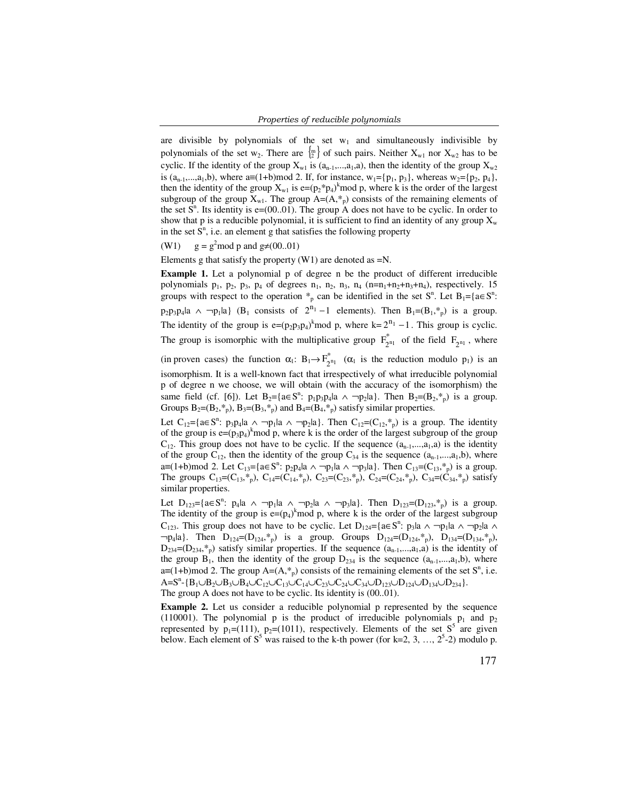are divisible by polynomials of the set  $w_1$  and simultaneously indivisible by polynomials of the set w<sub>2</sub>. There are  $\{^m\}$  of such pairs. Neither  $X_{w1}$  nor  $X_{w2}$  has to be cyclic. If the identity of the group  $X_{w1}$  is  $(a_{n-1},...,a_{1},a)$ , then the identity of the group  $X_{w2}$ is  $(a_{n-1},...,a_1,b)$ , where  $a=(1+b) \mod 2$ . If, for instance,  $w_1 = \{p_1, p_3\}$ , whereas  $w_2 = \{p_2, p_4\}$ , then the identity of the group  $X_{w1}$  is  $e=(p_2*p_4)^k$  mod p, where k is the order of the largest subgroup of the group  $X_{w1}$ . The group  $A=(A, *_{p})$  consists of the remaining elements of the set  $S<sup>n</sup>$ . Its identity is e=(00..01). The group A does not have to be cyclic. In order to show that p is a reducible polynomial, it is sufficient to find an identity of any group  $X_w$ in the set  $\overline{S}^n$ , i.e. an element g that satisfies the following property

(W1)  $g = g^2 \text{mod } p$  and  $g \neq (00..01)$ 

Elements g that satisfy the property  $(W1)$  are denoted as  $=N$ .

**Example 1.** Let a polynomial p of degree n be the product of different irreducible polynomials  $p_1$ ,  $p_2$ ,  $p_3$ ,  $p_4$  of degrees  $n_1$ ,  $n_2$ ,  $n_3$ ,  $n_4$  ( $n=n_1+n_2+n_3+n_4$ ), respectively. 15 groups with respect to the operation  $*_{p}$  can be identified in the set  $S^{n}$ . Let  $B_{1} = \{a \in S^{n}$ :  $p_2p_3p_4|a \wedge \neg p_1|a$  (B<sub>1</sub> consists of  $2^{n_1}-1$  elements). Then  $B_1=(B_1, *_{p})$  is a group. The identity of the group is  $e=(p_2p_3p_4)^k$  mod p, where  $k=2^{n_1}-1$ . This group is cyclic. The group is isomorphic with the multiplicative group  $F_{2^{n_1}}^*$  of the field  $F_{2^{n_1}}$ , where

(in proven cases) the function  $\alpha_1: B_1 \to F_{2^{n_1}}^*$  ( $\alpha_1$  is the reduction modulo  $p_1$ ) is an isomorphism. It is a well-known fact that irrespectively of what irreducible polynomial p of degree n we choose, we will obtain (with the accuracy of the isomorphism) the same field (cf. [6]). Let  $B_2 = \{a \in S^n: p_1p_3p_4|a \land \neg p_2|a\}$ . Then  $B_2 = (B_2, *_{p})$  is a group. Groups  $B_2=(B_2, *_{p})$ ,  $B_3=(B_3, *_{p})$  and  $B_4=(B_4, *_{p})$  satisfy similar properties.

Let  $C_{12}$ ={a∈S<sup>n</sup>: p<sub>3</sub>p<sub>4</sub>|a ∧ ¬p<sub>1</sub>|a ∧ ¬p<sub>2</sub>|a}. Then  $C_{12}$ =(C<sub>12</sub>,  $*_{p}$ ) is a group. The identity of the group is  $e = (p_3p_4)^k \text{ mod } p$ , where k is the order of the largest subgroup of the group  $C_{12}$ . This group does not have to be cyclic. If the sequence  $(a_{n-1},...,a_1,a)$  is the identity of the group  $C_{12}$ , then the identity of the group  $C_{34}$  is the sequence  $(a_{n-1},...,a_{1},b)$ , where a≡(1+b)mod 2. Let C<sub>13</sub>={a∈S<sup>n</sup>: p<sub>2</sub>p<sub>4</sub>|a ∧ ¬p<sub>1</sub>|a ∧ ¬p<sub>3</sub>|a}. Then C<sub>13</sub>=(C<sub>13</sub>, \*<sub>p</sub>) is a group. The groups  $C_{13}=(C_{13},^*)$ ,  $C_{14}=(C_{14},^*)$ ,  $C_{23}=(C_{23},^*)$ ,  $C_{24}=(C_{24},^*)$ ,  $C_{34}=(C_{34},^*)$  satisfy similar properties.

Let  $D_{123} = \{a \in S^n: p_4|a \land \neg p_1|a \land \neg p_2|a \land \neg p_3|a\}$ . Then  $D_{123} = (D_{123}, *_{p})$  is a group. The identity of the group is  $e=(p_4)^k$  mod p, where k is the order of the largest subgroup C<sub>123</sub>. This group does not have to be cyclic. Let D<sub>124</sub>={a∈S<sup>n</sup>: p<sub>3</sub>|a ∧ ¬p<sub>1</sub>|a ∧ ¬p<sub>2</sub>|a ∧  $\neg p_4|a$ . Then  $D_{124}=(D_{124}, *_{p})$  is a group. Groups  $D_{124}=(D_{124}, *_{p})$ ,  $D_{134}=(D_{134}, *_{p})$ ,  $D_{234}=(D_{234},\ast_p)$  satisfy similar properties. If the sequence  $(a_{n-1},...,a_1,a)$  is the identity of the group  $B_1$ , then the identity of the group  $D_{234}$  is the sequence  $(a_{n-1},...,a_1,b)$ , where a≡(1+b)mod 2. The group A=(A,<sup>\*</sup><sub>p</sub>) consists of the remaining elements of the set S<sup>n</sup>, i.e.  $A = S^{n} - {B_1 \cup B_2 \cup B_3 \cup B_4 \cup C_{12} \cup C_{13} \cup C_{14} \cup C_{23} \cup C_{24} \cup C_{34} \cup D_{123} \cup D_{124} \cup D_{234}}.$ The group A does not have to be cyclic. Its identity is (00..01).

**Example 2.** Let us consider a reducible polynomial p represented by the sequence (110001). The polynomial p is the product of irreducible polynomials  $p_1$  and  $p_2$ represented by  $p_1=(111)$ ,  $p_2=(1011)$ , respectively. Elements of the set  $S^5$  are given below. Each element of  $S^5$  was raised to the k-th power (for k=2, 3, ...,  $2^5$ -2) modulo p.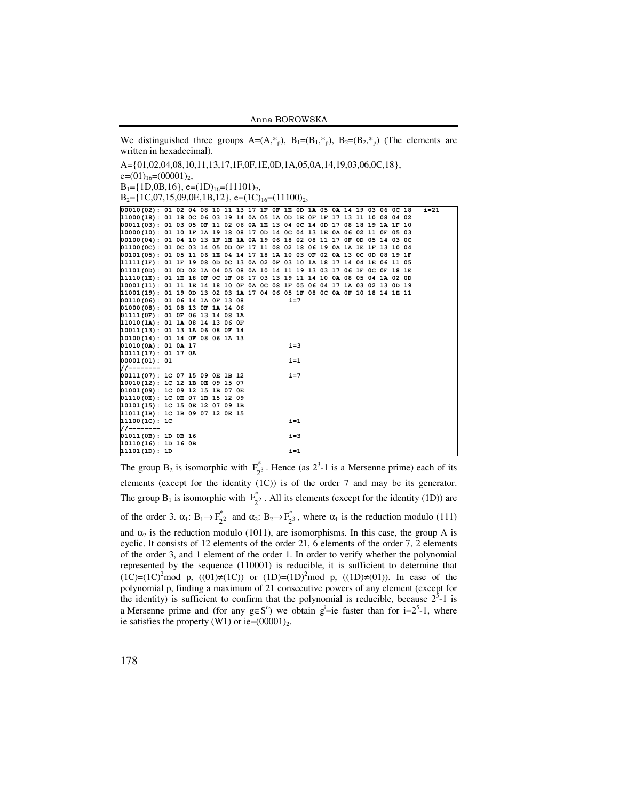Anna BOROWSKA

We distinguished three groups  $A=(A, *_{p})$ ,  $B_{1}=(B_{1}, *_{p})$ ,  $B_{2}=(B_{2}, *_{p})$  (The elements are written in hexadecimal).

A={01,02,04,08,10,11,13,17,1F,0F,1E,0D,1A,05,0A,14,19,03,06,0C,18},

 $e=(01)_{16}=(00001)_2$ ,

 $B_1 = \{1D, 0B, 16\}, \quad e = (1D)_{16} = (11101)_2,$ 

 $B_2 = \{1C, 07, 15, 09, 0E, 1B, 12\}$ , e= $(1C)_{16} = (11100)_2$ ,

| 00010(02): 01 02 04 08 10 11 13 17 1F OF 1E OD 1A 05 0A 14 19 03 06 OC 18 |  |  |  |  |  |         |  |  |  |  | $i=21$ |  |
|---------------------------------------------------------------------------|--|--|--|--|--|---------|--|--|--|--|--------|--|
| 11000(18): 01 18 0C 06 03 19 14 0A 05 1A 0D 1E 0F 1F 17 13 11 10 08 04 02 |  |  |  |  |  |         |  |  |  |  |        |  |
| 00011(03): 01 03 05 0F 11 02 06 0A 1E 13 04 0C 14 0D 17 08 18 19 1A 1F 10 |  |  |  |  |  |         |  |  |  |  |        |  |
| 10000(10): 01 10 1F 1A 19 18 08 17 0D 14 0C 04 13 1E 0A 06 02 11 0F 05 03 |  |  |  |  |  |         |  |  |  |  |        |  |
| 00100(04): 01 04 10 13 1F 1E 1A 0A 19 06 18 02 08 11 17 0F 0D 05 14 03 0C |  |  |  |  |  |         |  |  |  |  |        |  |
| 01100(0C): 01 0C 03 14 05 0D 0F 17 11 08 02 18 06 19 0A 1A 1E 1F 13 10 04 |  |  |  |  |  |         |  |  |  |  |        |  |
| 00101(05): 01 05 11 06 1E 04 14 17 18 1A 10 03 0F 02 0A 13 0C 0D 08 19 1F |  |  |  |  |  |         |  |  |  |  |        |  |
| 11111(1F): 01 1F 19 08 0D 0C 13 0A 02 0F 03 10 1A 18 17 14 04 1E 06 11 05 |  |  |  |  |  |         |  |  |  |  |        |  |
| 01101(OD): 01 OD 02 1A 04 05 08 0A 10 14 11 19 13 03 17 06 1F OC OF 18 1E |  |  |  |  |  |         |  |  |  |  |        |  |
| 11110(1E): 01 1E 18 OF OC 1F 06 17 03 13 19 11 14 10 0A 08 05 04 1A 02 OD |  |  |  |  |  |         |  |  |  |  |        |  |
| 10001(11): 01 11 1E 14 18 10 OF 0A OC 08 1F 05 06 04 17 1A 03 02 13 OD 19 |  |  |  |  |  |         |  |  |  |  |        |  |
| 11001(19): 01 19 0D 13 02 03 1A 17 04 06 05 1F 08 0C 0A 0F 10 18 14 1E 11 |  |  |  |  |  |         |  |  |  |  |        |  |
| $00110(06)$ : 01 06 14 1A OF 13 08                                        |  |  |  |  |  | $i = 7$ |  |  |  |  |        |  |
| 01000(08): 01 08 13 OF 1A 14 06                                           |  |  |  |  |  |         |  |  |  |  |        |  |
| 01111(OF): 01 OF 06 13 14 08 1A                                           |  |  |  |  |  |         |  |  |  |  |        |  |
| 11010(1A): 01 1A 08 14 13 06 OF                                           |  |  |  |  |  |         |  |  |  |  |        |  |
| 10011(13): 01 13 1A 06 08 OF 14                                           |  |  |  |  |  |         |  |  |  |  |        |  |
| 10100(14): 01 14 OF 08 06 1A 13                                           |  |  |  |  |  |         |  |  |  |  |        |  |
| 01010(0A): 01 0A 17                                                       |  |  |  |  |  | $i = 3$ |  |  |  |  |        |  |
| 10111(17): 01170A                                                         |  |  |  |  |  |         |  |  |  |  |        |  |
| 00001(01): 01                                                             |  |  |  |  |  | $i=1$   |  |  |  |  |        |  |
| //--------                                                                |  |  |  |  |  |         |  |  |  |  |        |  |
| [00111(07): 1C 07 15 09 0E 1B 12]                                         |  |  |  |  |  | $i=7$   |  |  |  |  |        |  |
| 10010(12): 1C 12 1B 0E 09 15 07                                           |  |  |  |  |  |         |  |  |  |  |        |  |
| 01001(09): 1C 09 12 15 1B 07 0E                                           |  |  |  |  |  |         |  |  |  |  |        |  |
| 01110(0E): 1C 0E 07 1B 15 12 09                                           |  |  |  |  |  |         |  |  |  |  |        |  |
| 10101(15): 1C 15 OE 12 07 09 1B                                           |  |  |  |  |  |         |  |  |  |  |        |  |
| 11011(1B): 1C 1B 09 07 12 0E 15                                           |  |  |  |  |  |         |  |  |  |  |        |  |
| 11100(1C): 1C                                                             |  |  |  |  |  | $i=1$   |  |  |  |  |        |  |
| //--------                                                                |  |  |  |  |  |         |  |  |  |  |        |  |
| $01011(0B)$ : 1D 0B 16                                                    |  |  |  |  |  | $i=3$   |  |  |  |  |        |  |
| $10110(16)$ : 1D 16 0B                                                    |  |  |  |  |  |         |  |  |  |  |        |  |
| $11101(D)$ : 1D                                                           |  |  |  |  |  | $i=1$   |  |  |  |  |        |  |
|                                                                           |  |  |  |  |  |         |  |  |  |  |        |  |

The group  $B_2$  is isomorphic with  $F_2^*$ . Hence (as  $2^3$ -1 is a Mersenne prime) each of its elements (except for the identity (1C)) is of the order 7 and may be its generator. The group  $B_1$  is isomorphic with  $F_{2^2}^*$ . All its elements (except for the identity (1D)) are of the order 3.  $\alpha_1$ :  $B_1 \rightarrow F_2^*$  and  $\alpha_2$ :  $B_2 \rightarrow F_2^*$ , where  $\alpha_1$  is the reduction modulo (111) and  $\alpha_2$  is the reduction modulo (1011), are isomorphisms. In this case, the group A is cyclic. It consists of 12 elements of the order 21, 6 elements of the order 7, 2 elements of the order 3, and 1 element of the order 1. In order to verify whether the polynomial represented by the sequence (110001) is reducible, it is sufficient to determine that  $(1C)=(1C)^2 \text{mod } p$ ,  $((01)\ne(1C))$  or  $(1D)=(1D)^2 \text{mod } p$ ,  $((1D)\ne(01))$ . In case of the polynomial p, finding a maximum of 21 consecutive powers of any element (except for the identity) is sufficient to confirm that the polynomial is reducible, because  $2^3$ -1 is a Mersenne prime and (for any  $g \in S^n$ ) we obtain  $g^i = ie$  faster than for  $i = 2^5-1$ , where ie satisfies the property (W1) or ie= $(00001)_2$ .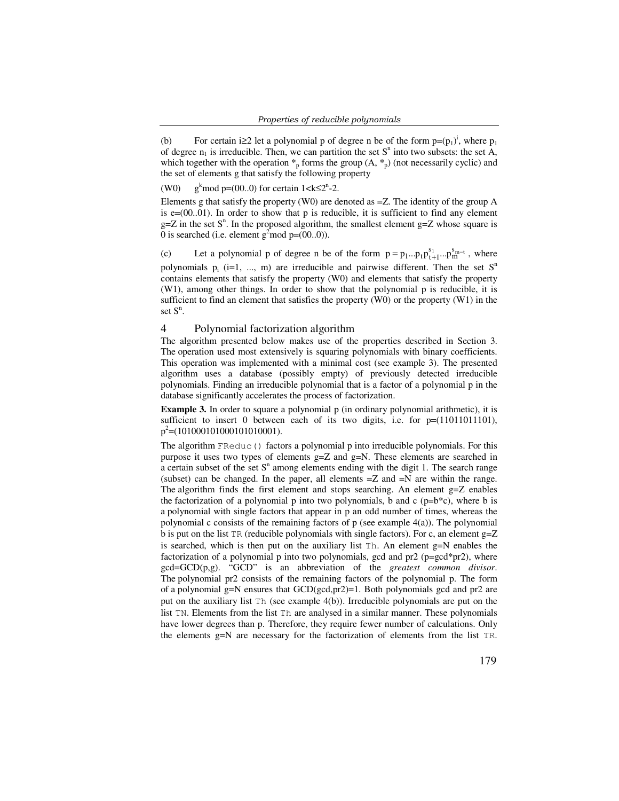(b) For certain i≥2 let a polynomial p of degree n be of the form  $p=(p_1)^i$ , where  $p_1$ of degree  $n_1$  is irreducible. Then, we can partition the set  $S<sup>n</sup>$  into two subsets: the set  $\overline{A}$ , which together with the operation  $*_p$  forms the group  $(A, *_p)$  (not necessarily cyclic) and the set of elements g that satisfy the following property

(W0) g<sup>k</sup> mod p=(00..0) for certain  $1 < k \le 2^{n}$ -2.

Elements g that satisfy the property (W0) are denoted as  $=Z$ . The identity of the group A is  $e=(00..01)$ . In order to show that p is reducible, it is sufficient to find any element  $g=Z$  in the set  $S<sup>n</sup>$ . In the proposed algorithm, the smallest element  $g=Z$  whose square is 0 is searched (i.e. element  $g^2$  mod  $p=(00..0)$ ).

(c) Let a polynomial p of degree n be of the form  $p = p_1 \dots p_t p_{t+1}^{s_1} \dots p_m^{s_{m-t}}$ , where polynomials  $p_i$  (i=1, ..., m) are irreducible and pairwise different. Then the set  $S<sup>n</sup>$ contains elements that satisfy the property (W0) and elements that satisfy the property (W1), among other things. In order to show that the polynomial p is reducible, it is sufficient to find an element that satisfies the property (W0) or the property (W1) in the set  $S^n$ .

## 4 Polynomial factorization algorithm

The algorithm presented below makes use of the properties described in Section 3. The operation used most extensively is squaring polynomials with binary coefficients. This operation was implemented with a minimal cost (see example 3). The presented algorithm uses a database (possibly empty) of previously detected irreducible polynomials. Finding an irreducible polynomial that is a factor of a polynomial p in the database significantly accelerates the process of factorization.

**Example 3.** In order to square a polynomial p (in ordinary polynomial arithmetic), it is sufficient to insert 0 between each of its two digits, i.e. for  $p=(11011011101)$ ,  $p^2$  = (10100010100010101010001).

The algorithm FReduc() factors a polynomial p into irreducible polynomials. For this purpose it uses two types of elements g=Z and g=N. These elements are searched in a certain subset of the set  $S<sup>n</sup>$  among elements ending with the digit 1. The search range (subset) can be changed. In the paper, all elements =Z and =N are within the range. The algorithm finds the first element and stops searching. An element g=Z enables the factorization of a polynomial p into two polynomials, b and c ( $p=b^*c$ ), where b is a polynomial with single factors that appear in p an odd number of times, whereas the polynomial c consists of the remaining factors of  $p$  (see example  $4(a)$ ). The polynomial b is put on the list TR (reducible polynomials with single factors). For c, an element  $g=Z$ is searched, which is then put on the auxiliary list Th. An element g=N enables the factorization of a polynomial p into two polynomials, gcd and pr2 (p=gcd\*pr2), where gcd=GCD(p,g). "GCD" is an abbreviation of the *greatest common divisor*. The polynomial pr2 consists of the remaining factors of the polynomial p. The form of a polynomial g=N ensures that  $GCD(gcd,pr2)=1$ . Both polynomials gcd and pr2 are put on the auxiliary list Th (see example 4(b)). Irreducible polynomials are put on the list TN. Elements from the list Th are analysed in a similar manner. These polynomials have lower degrees than p. Therefore, they require fewer number of calculations. Only the elements  $g=N$  are necessary for the factorization of elements from the list TR.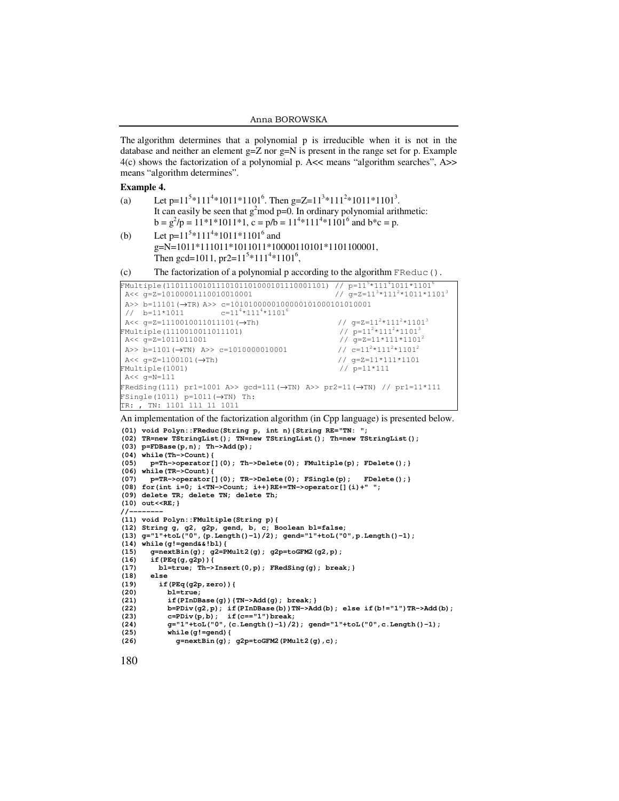The algorithm determines that a polynomial p is irreducible when it is not in the database and neither an element  $g=Z$  nor  $g=N$  is present in the range set for p. Example 4(c) shows the factorization of a polynomial p. A<< means "algorithm searches", A>> means "algorithm determines".

#### **Example 4.**

- (a) Let  $p=11^{5}*111^{4}*1011*1101^{6}$ . Then  $g=Z=11^{3}*111^{2}*1011*1101^{3}$ . It can easily be seen that  $g^2$  mod p=0. In ordinary polynomial arithmetic:  $b = g^2/p = 11*1*1011*1$ ,  $c = p/b = 11<sup>4</sup>*111<sup>4</sup>*1101<sup>6</sup>$  and  $b*c = p$ .
- (b) Let  $p=11^{5}*111^{4}*1011*1101^{6}$  and g=N=1011\*111011\*1011011\*10000110101\*1101100001, Then gcd=1011,  $pr2=11^{5}*111^{4}*1101^{6}$ ,
- (c) The factorization of a polynomial p according to the algorithm FReduc().

```
FMultiple(11011100101110101101001011110001101) // p=115 \times 111^{4}1011 \times 1101^{6}<br>A<< q=Z=10100001110010010001A<< q=Z=10100001110010010001
 A>> b=11101(→TR) A>> c=1010100000100000101000101010001// b=11*1011 c=11<sup>4</sup>*111<sup>4</sup>*1101<sup>6</sup>
                            c=11^{4}*111^{4}*1101^{6} A<< g=Z=1110010011011101(→Th) // g=Z=112*1112*11013
FMultiple(1110010011011101)<br>A<< α=2=1011011001
                                                                 \frac{7}{7} p=11<sup>2</sup>*111<sup>2</sup>*1101<sup>3</sup><br>\frac{7}{7} g=Z=11*111*1101<sup>2</sup>
 A>> b=1101(\rightarrowTN) A>> c=1010000010001 // c=11<sup>2</sup>*111<sup>2</sup>*1101<sup>2</sup>
  A<< g=Z=1100101(→Th) // g=Z=11*111*1101 
FMultiple(1001) // p=11*111 
 A<< g=N=111 
FRedSing(111) pr1=1001 A>> gcd=111(\rightarrowTN) A>> pr2=11(\rightarrowTN) // pr1=11*111
FSingle(1011) p=1011 (\rightarrowTN) Th:
TR: , TN: 1101 111 11 1011
```
An implementation of the factorization algorithm (in Cpp language) is presented below.

```
(01) void Polyn::FReduc(String p, int n){String RE="TN: "; 
(02) TR=new TStringList(); TN=new TStringList(); Th=new TStringList(); 
(03) p=FDBase(p,n); Th->Add(p); 
(04) while(Th->Count){ 
      (05) p=Th->operator[](0); Th->Delete(0); FMultiple(p); FDelete();} 
(06) while(TR->Count){ 
(07) p=TR->operator[](0); TR->Delete(0); FSingle(p); FDelete();} 
(08) for(int i=0; i<TN->Count; i++)RE+=TN->operator[](i)+" "; 
(09) delete TR; delete TN; delete Th; 
(10) out<<RE;} 
11-(11) void Polyn::FMultiple(String p){ 
(12) String g, g2, g2p, gend, b, c; Boolean bl=false; 
(13) g="1"+toL("0",(p.Length()-1)/2); gend="1"+toL("0",p.Length()-1); 
(14) while(g!=gend&&!bl){ 
(15) g=nextBin(g); g2=PMult2(g); g2p=toGFM2(g2,p); 
(16) if(PEq(g,g2p)){ 
         (17) bl=true; Th->Insert(0,p); FRedSing(g); break;} 
(18) else 
(19) if(PEq(g2p,zero)){ 
(20) bl=true; 
(21) if(PInDBase(g)){TN->Add(g); break;} 
(22) b=PDiv(g2, p); if(PInDBase(b))TN->Add(b); else if(b!="1")TR->Add(b); c=PDiv(p,b); if(c=="1")break;
(23) c=PDiv(p,b); if(c=="1")break; 
(24) g="l" +toL("0", (c.Length() -1)/2); \text{ gend="t-toL("0", c.Length() -1);<br>(25) while (g!=\text{gend} {
(25) while(g!=gend){ 
             (26) g=nextBin(g); g2p=toGFM2(PMult2(g),c);
```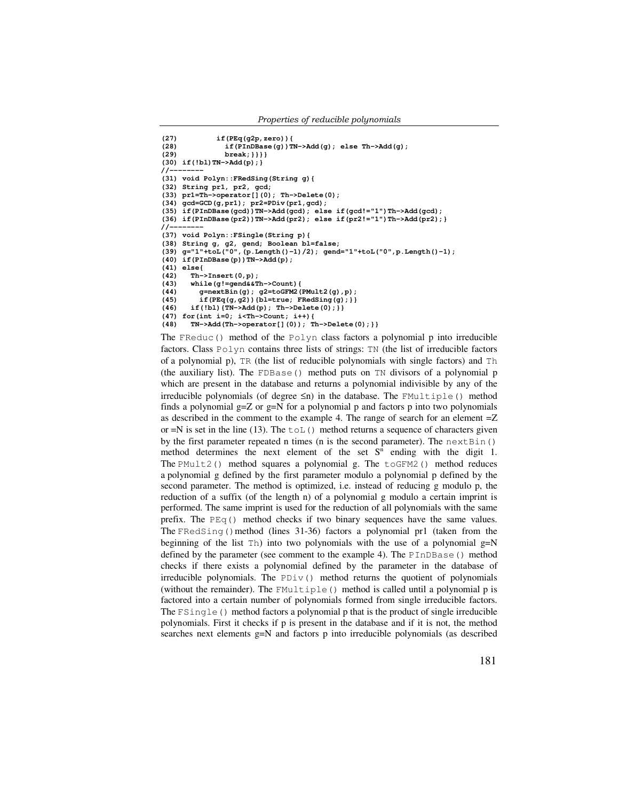**(27) if(PEq(g2p,zero)){**  (28)  $if(PinDBase(g))TN->Add(g); else Th->Add(g);$ <br>(29)  $break; \}$ } **(29) break;}}}} (30) if(!bl)TN->Add(p);}**   $11-$ **(31) void Polyn::FRedSing(String g){ (32) String pr1, pr2, gcd; (33) pr1=Th->operator[](0); Th->Delete(0); (34) gcd=GCD(g,pr1); pr2=PDiv(pr1,gcd); (35) if(PInDBase(gcd))TN->Add(gcd); else if(gcd!="1")Th->Add(gcd); (36) if(PInDBase(pr2))TN->Add(pr2); else if(pr2!="1")Th->Add(pr2);}**   $/$ /-**(37) void Polyn::FSingle(String p){ (38) String g, g2, gend; Boolean bl=false; (39) g="1"+toL("0",(p.Length()-1)/2); gend="1"+toL("0",p.Length()-1); (40) if(PInDBase(p))TN->Add(p); (41) else{ (42) Th->Insert(0,p); (43) while(g!=gend&&Th->Count){ (44) g=nextBin(g); g2=toGFM2(PMult2(g),p); (45) if(PEq(g,g2)){bl=true; FRedSing(g);}} (46) if(!bl){TN->Add(p); Th->Delete(0);}} (47) for(int i=0; i<Th->Count; i++){ (48) TN->Add(Th->operator[](0)); Th->Delete(0);}}**

The FReduc() method of the Polyn class factors a polynomial p into irreducible factors. Class Polyn contains three lists of strings: TN (the list of irreducible factors of a polynomial p), TR (the list of reducible polynomials with single factors) and Th (the auxiliary list). The FDBase() method puts on TN divisors of a polynomial p which are present in the database and returns a polynomial indivisible by any of the irreducible polynomials (of degree  $\leq n$ ) in the database. The FMultiple() method finds a polynomial  $g=Z$  or  $g=N$  for a polynomial p and factors p into two polynomials as described in the comment to the example 4. The range of search for an element =Z or  $=N$  is set in the line (13). The  $\text{tol}$  () method returns a sequence of characters given by the first parameter repeated n times (n is the second parameter). The  $nextBin()$ method determines the next element of the set  $S<sup>n</sup>$  ending with the digit 1. The PMult2() method squares a polynomial g. The  $\text{toGFM2}$ () method reduces a polynomial g defined by the first parameter modulo a polynomial p defined by the second parameter. The method is optimized, i.e. instead of reducing g modulo p, the reduction of a suffix (of the length n) of a polynomial g modulo a certain imprint is performed. The same imprint is used for the reduction of all polynomials with the same prefix. The  $PEq()$  method checks if two binary sequences have the same values. The FRedSing() method (lines  $31-36$ ) factors a polynomial pr1 (taken from the beginning of the list  $Th$ ) into two polynomials with the use of a polynomial  $g=N$ defined by the parameter (see comment to the example 4). The PInDBase() method checks if there exists a polynomial defined by the parameter in the database of irreducible polynomials. The  $PDiv()$  method returns the quotient of polynomials (without the remainder). The FMultiple() method is called until a polynomial p is factored into a certain number of polynomials formed from single irreducible factors. The  $F\sin q \leq \theta$  method factors a polynomial p that is the product of single irreducible polynomials. First it checks if p is present in the database and if it is not, the method searches next elements g=N and factors p into irreducible polynomials (as described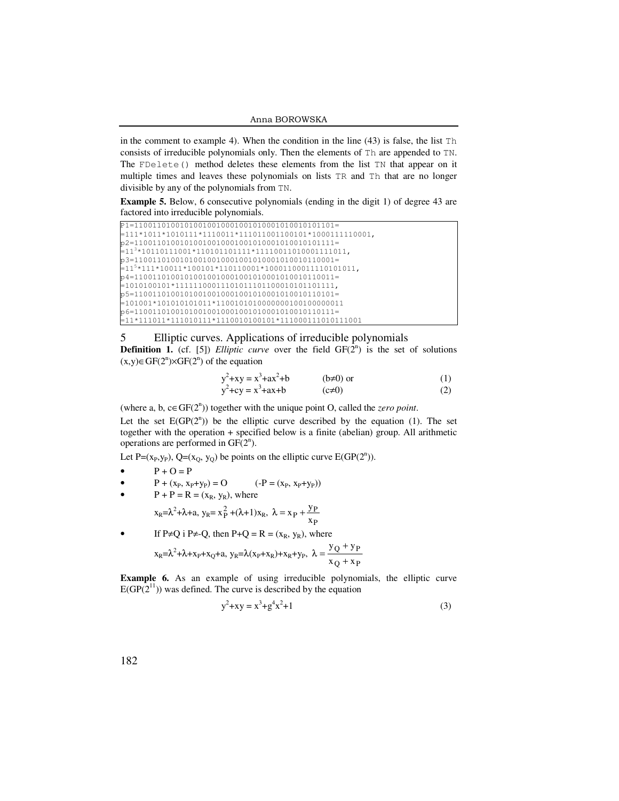in the comment to example 4). When the condition in the line  $(43)$  is false, the list  $Th$ consists of irreducible polynomials only. Then the elements of Th are appended to TN. The FDelete() method deletes these elements from the list TN that appear on it multiple times and leaves these polynomials on lists TR and Th that are no longer divisible by any of the polynomials from TN.

**Example 5.** Below, 6 consecutive polynomials (ending in the digit 1) of degree 43 are factored into irreducible polynomials.

| $= 111*1011*1010111*1110011*111011001100101*1000111110001,$         |
|---------------------------------------------------------------------|
|                                                                     |
| $=113$ *10110111001*110101101111*11110011010001111011,              |
|                                                                     |
|                                                                     |
| $p4=11001101001010010010001001010001010010110011=$                  |
|                                                                     |
|                                                                     |
|                                                                     |
| $p6=11001101001010010010001001010001010010110111=$                  |
| $\frac{1}{2}$ = 11*111011*111010111*111001010101*111000111010111001 |

## 5 Elliptic curves. Applications of irreducible polynomials

**Definition 1.** (cf. [5]) *Elliptic curve* over the field  $GF(2^n)$  is the set of solutions  $(x,y) \in GF(2^n) \times GF(2^n)$  of the equation

$$
y2+xy = x3+ax2+b
$$
 (b $\neq$ 0) or  

$$
y2+cy = x3+ax+b
$$
 (c $\neq$ 0) (1)

(where a, b,  $c \in GF(2^n)$ ) together with the unique point O, called the *zero point*.

Let the set  $E(GP(2^n))$  be the elliptic curve described by the equation (1). The set together with the operation + specified below is a finite (abelian) group. All arithmetic operations are performed in  $GF(2^n)$ .

Let P=( $x_P, y_P$ ), Q=( $x_Q, y_Q$ ) be points on the elliptic curve E(GP( $2^n$ )).

- $P + O = P$
- $P + (x_P, x_P + y_P) = O$  (-P = ( $x_P, x_P + y_P$ ))
- $P + P = R = (x_R, y_R)$ , where

$$
x_R = \lambda^2 + \lambda + a, \ y_R = x_P^2 + (\lambda + 1)x_R, \ \lambda = x_P + \frac{y_P}{x_P}
$$

• If P≠Q i P≠-Q, then P+Q = R =  $(x_R, y_R)$ , where

22

$$
x_R = \lambda^2 + \lambda + x_P + x_Q + a, \ y_R = \lambda(x_P + x_R) + x_R + y_P, \ \lambda = \frac{y_Q + y_P}{x_Q + x_P}
$$

**Example 6.** As an example of using irreducible polynomials, the elliptic curve  $E(GP(2^{11}))$  was defined. The curve is described by the equation

$$
y^2 + xy = x^3 + g^4x^2 + 1\tag{3}
$$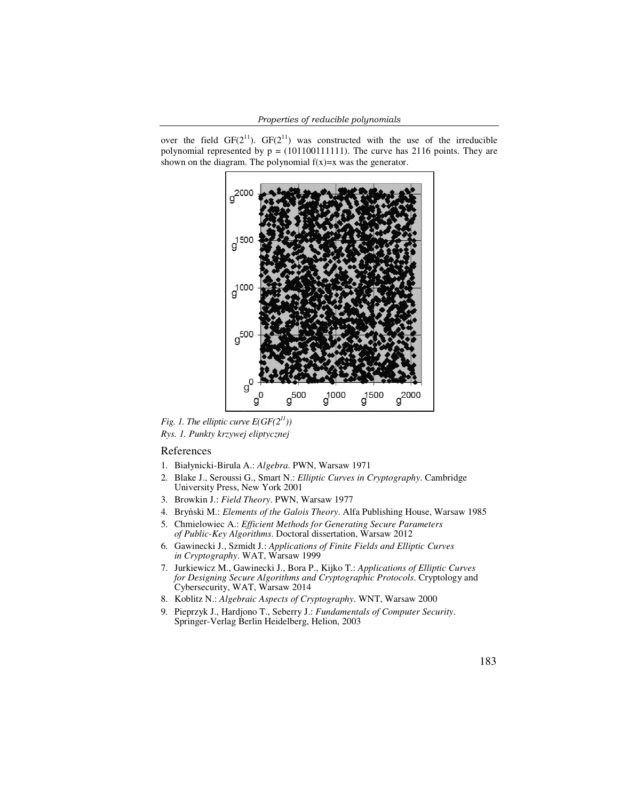over the field  $GF(2^{11})$ .  $GF(2^{11})$  was constructed with the use of the irreducible polynomial represented by  $p = (101100111111)$ . The curve has 2116 points. They are shown on the diagram. The polynomial  $f(x)=x$  was the generator. shown on the diagram. The polynomial  $f(x)=x$  was the generator.



*Fig. 1. The elliptic curve*  $E(GF(2<sup>11</sup>))$ *Rys. 1. Punkty krzywej eliptycznej eliptycznej*

## References

- 1. Białynicki-Birula A.: Algebra. PWN, Warsaw 1971
- 2. Blake J., Seroussi G., Smart N.: Elliptic Curves in Cryptography. Cambridge University Press, New York 2001
- 3. Browkin J.: *Field Theory* . PWN, Warsaw 1977
- 4. Bryński M.: Elements of the Galois Theory. Alfa Publishing House, Warsaw 1985
- 5. Chmielowiec A.: *Efficient Methods for Generating Secure Parameters Parameters*  of Public-Key Algorithms. Doctoral dissertation, Warsaw 2012
- 6. Gawinecki J., Szmidt J.: Gawinecki J., *Applications of Finite Fields and Elliptic Curves*  in Cryptography. WAT, Warsaw 1999
- 7. Jurkiewicz M., Gawinecki J., Bora P., Kijko T.: Applications of Elliptic Curves for Designing Secure Algorithms and Cryptographic Protocols. Cryptology and Cybersecurity, WAT, Warsaw 2014
- 8. Koblitz N.: *Algebraic Aspects of Cryptography*. WNT, Warsaw 2000
- 9. Pieprzyk J., Hardjono T., Seberry J.: Fundamentals of Computer Security. Springer-Verlag Berlin Heidelberg, Helion, 2003